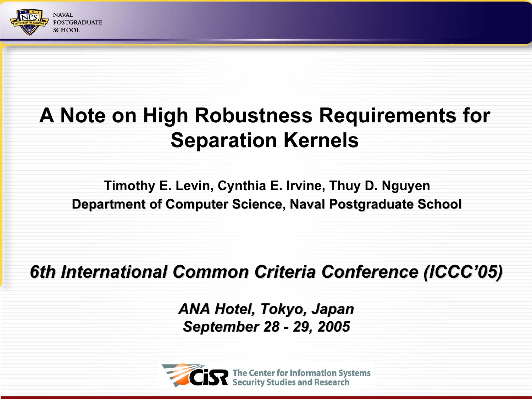

#### A Note on High Robustness Requirements for Separation Kernels

Timothy E. Levin, Cynthia E. Irvine, Thuy D. Nguyen Department of Computer Science, Naval Postgraduate School

#### 6th International Common Criteria Conference (ICCC'05)

ANA Hotel, Tokyo, Japan September 28 - 29, 2005

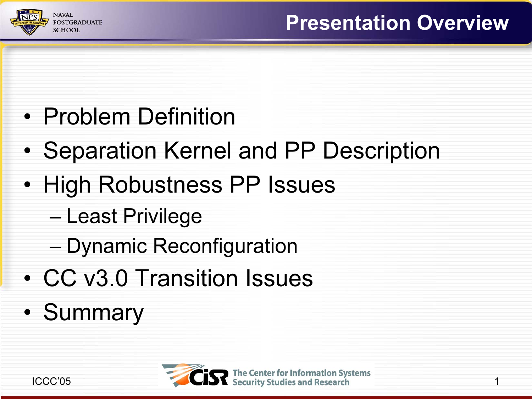

- Problem Definition
- •Separation Kernel and PP Description
- High Robustness PP Issues
	- Least Privilege
	- Dynamic Reconfiguration
- CC v3.0 Transition Issues
- •**Summary**

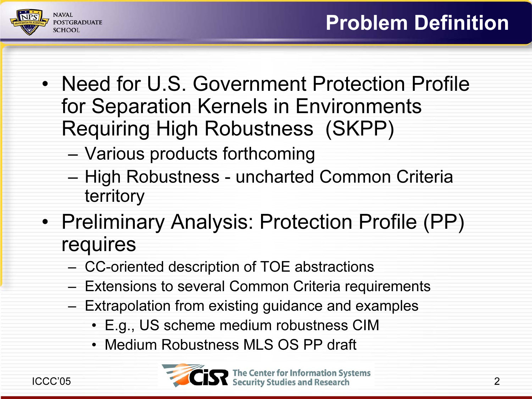

- Need for U.S. Government Protection Profile for Separation Kernels in Environments Requiring High Robustness (SKPP)
	- Various products forthcoming
	- High Robustness uncharted Common Criteria territory
- Preliminary Analysis: Protection Profile (PP) requires
	- –CC-oriented description of TOE abstractions
	- –Extensions to several Common Criteria requirements
	- – Extrapolation from existing guidance and examples
		- E.g., US scheme medium robustness CIM
		- Medium Robustness MLS OS PP draft

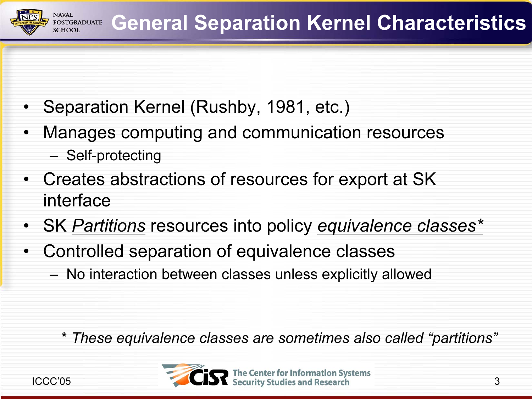

- •Separation Kernel (Rushby, 1981, etc.)
- • Manages computing and communication resources
	- Self-protecting
- Creates abstractions of resources for export at SK interface
- SK <u>Partitions</u> resources into policy <u>equivalence classes\*</u>
- Controlled separation of equivalence classes
	- No interaction between classes unless explicitly allowed

\* These equivalence classes are sometimes also called "partitions"

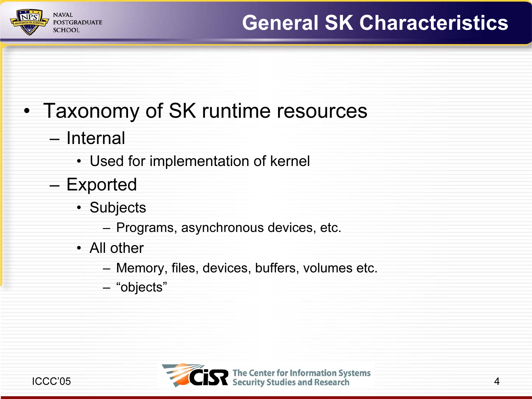

#### • Taxonomy of SK runtime resources

- Internal
	- Used for implementation of kernel
- Exported
	- Subjects
		- Programs, asynchronous devices, etc.
	- All other
		- Memory, files, devices, buffers, volumes etc.
		- "objects"

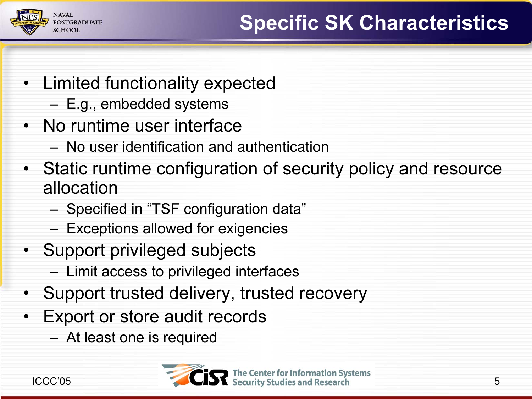

- Limited functionality expected
	- E.g., embedded systems
- No runtime user interface
	- No user identification and authentication
- Static runtime configuration of security policy and resource allocation
	- Specified in "TSF configuration data"
	- Exceptions allowed for exigencies
- Support privileged subjects
	- Limit access to privileged interfaces
- Support trusted delivery, trusted recovery
- • Export or store audit records
	- At least one is required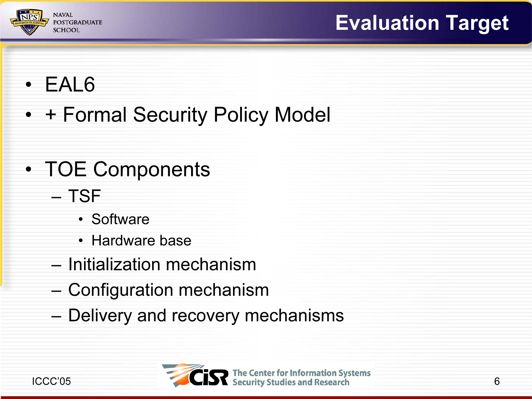

#### • EAL6

• + Formal Security Policy Model

#### • TOE Components

- TSF
	- Software
	- Hardware base
- Initialization mechanism
- Configuration mechanism
- Delivery and recovery mechanisms

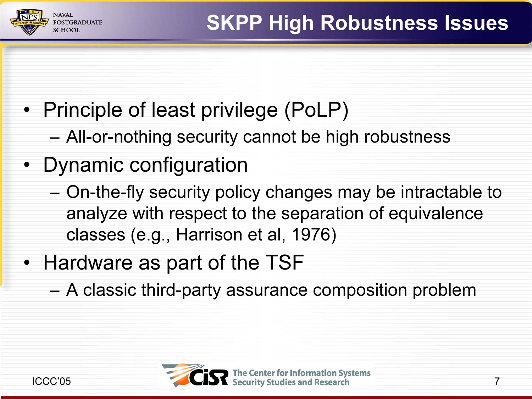

- Principle of least privilege (PoLP)
	- –All-or-nothing security cannot be high robustness
- Dynamic configuration

**OSTGRADUATE** 

CHOOI

- On-the-fly security policy changes may be intractable to analyze with respect to the separation of equivalence classes (e.g., Harrison et al, 1976)
- Hardware as part of the TSF
	- A classic third-party assurance composition problem

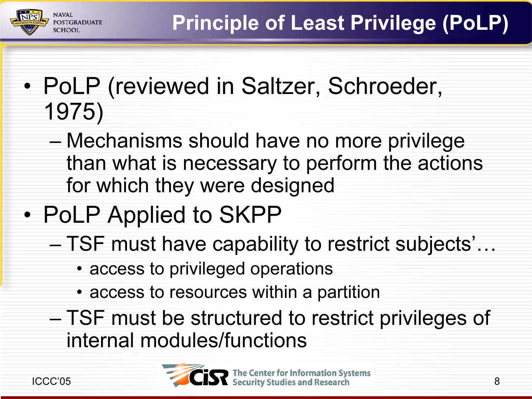- • PoLP (reviewed in Saltzer, Schroeder, 1975)
	- Mechanisms should have no more privilege than what is necessary to perform the actions for which they were designed
- • PoLP Applied to SKPP
	- TSF must have capability to restrict subjects'…
		- access to privileged operations
		- access to resources within a partition
	- TSF must be structured to restrict privileges of internal modules/functions



**SCHOOI**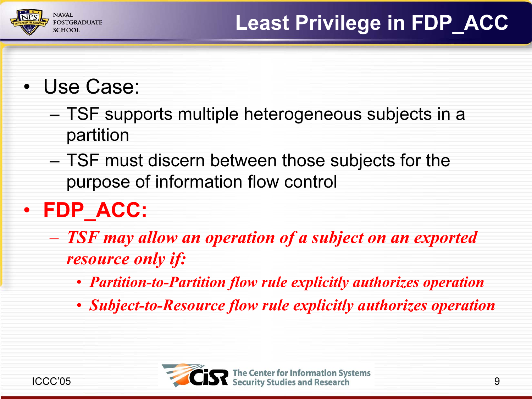

#### • Use Case:

- TSF supports multiple heterogeneous subjects in a partition
- – TSF must discern between those subjects for the purpose of information flow control

# • FDP\_ACC:

- TSF may allow an operation of a subject on an exported resource only if:
	- *•* Partition-to-Partition flow rule explicitly authorizes operation
	- Subject-to-Resource flow rule explicitly authorizes operation

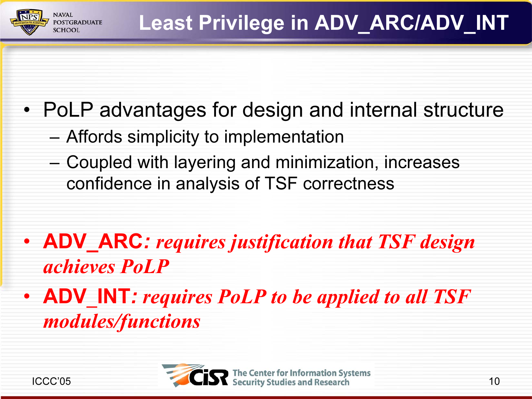

- PoLP advantages for design and internal structure
	- –Affords simplicity to implementation
	- – Coupled with layering and minimization, increases confidence in analysis of TSF correctness
- ADV\_ARC: requires justification that TSF design achieves PoLP
- **ADV\_INT:** requires PoLP to be applied to all TSF modules/functions

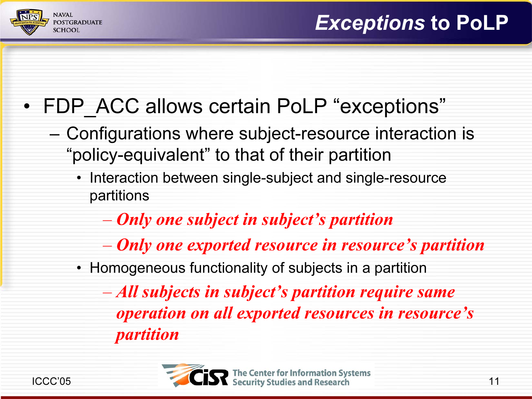

### • FDP\_ACC allows certain PoLP "exceptions"

- – Configurations where subject-resource interaction is "policy-equivalent" to that of their partition
	- Interaction between single-subject and single-resource partitions
		- $\mathcal{L}_{\mathcal{A}}$  , where  $\mathcal{L}_{\mathcal{A}}$  is the set of the set of the set of the set of the set of the set of the set of the set of the set of the set of the set of the set of the set of the set of the set of the set of the Only one subject in subject's partition
		- $\mathcal{L}_{\mathcal{A}}$  , where  $\mathcal{L}_{\mathcal{A}}$  is the set of the set of the set of the set of the set of the set of the set of the set of the set of the set of the set of the set of the set of the set of the set of the set of the Only one exported resource in resource's partition
	- Homogeneous functionality of subjects in a partition

 All subjects in subject's partition require same operation on all exported resources in resource's partition

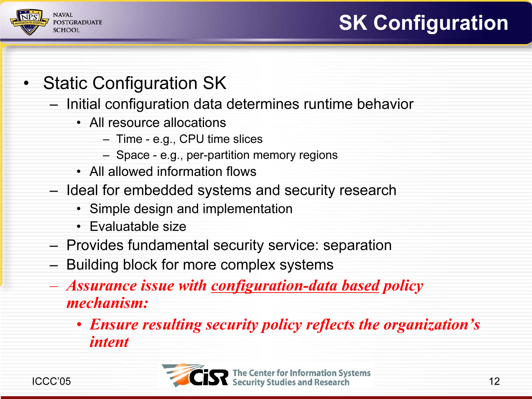## SK Configuration



- Static Configuration SK
	- Initial configuration data determines runtime behavior
		- All resource allocations
			- Time e.g., CPU time slices
			- Space e.g., per-partition memory regions
		- All allowed information flows
	- Ideal for embedded systems and security research
		- Simple design and implementation
		- Evaluatable size
	- Provides fundamental security service: separation
	- Building block for more complex systems
	- Assurance issue with <u>configuration-data based</u> policy mechanism:
		- Ensure resulting security policy reflects the organization's intent

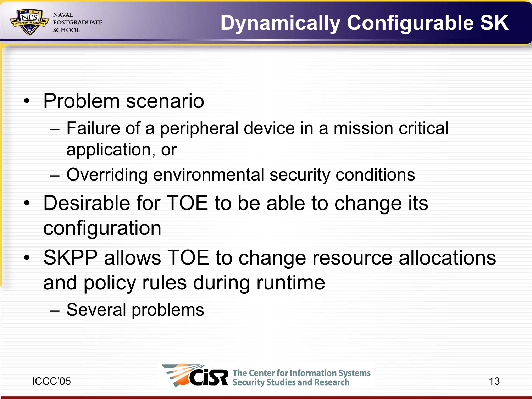

## • Problem scenario

- Failure of a peripheral device in a mission critical application, or
- Overriding environmental security conditions
- Desirable for TOE to be able to change its configuration
- SKPP allows TOE to change resource allocations and policy rules during runtime

–Several problems

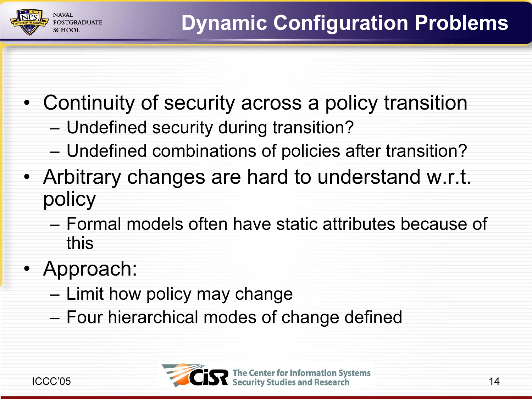- Continuity of security across a policy transition
	- Undefined security during transition?
	- Undefined combinations of policies after transition?
- Arbitrary changes are hard to understand w.r.t. policy
	- Formal models often have static attributes because of this
- Approach:

**OSTGRADUATE SCHOOL** 

- Limit how policy may change
- Four hierarchical modes of change defined

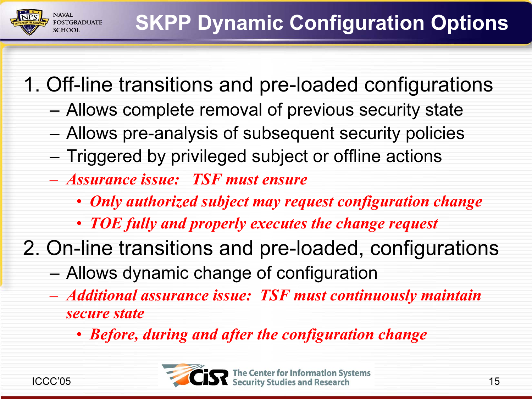1. Off-line transitions and pre-loaded configurations

- –Allows complete removal of previous security state
- Allows pre-analysis of subsequent security policies
- Triggered by privileged subject or offline actions
- Assurance issue: TSF must ensure
	- Only authorized subject may request configuration change
	- TOE fully and properly executes the change request
- 2. On-line transitions and pre-loaded, configurations
	- Allows dynamic change of configuration
	- Additional assurance issue: TSF must continuously maintain secure state
		- Before, during and after the configuration change

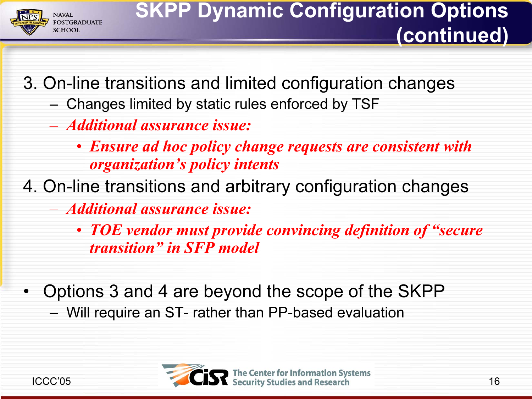

3. On-line transitions and limited configuration changes

- Changes limited by static rules enforced by TSF
- Additional assurance issue:
	- Ensure ad hoc policy change requests are consistent with organization's policy intents
- 4. On-line transitions and arbitrary configuration changes
	- Additional assurance issue:
		- TOE vendor must provide convincing definition of "secure transition" in SFP model
- Options 3 and 4 are beyond the scope of the SKPP
	- Will require an ST- rather than PP-based evaluation

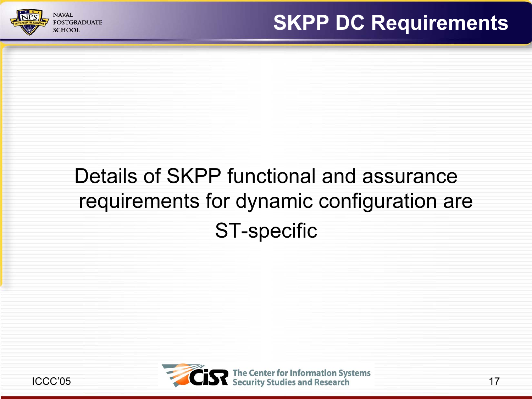

## Details of SKPP functional and assurance requirements for dynamic configuration are ST-specific

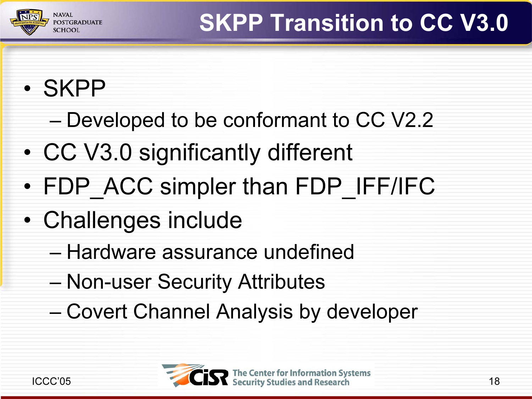

• SKPP

**POSTGRADUATE SCHOOI** 

- Developed to be conformant to CC V2.2
- •CC V3.0 significantly different
- •FDP\_ACC simpler than FDP\_IFF/IFC
- • Challenges include
	- Hardware assurance undefined
	- Non-user Security Attributes
	- Covert Channel Analysis by developer

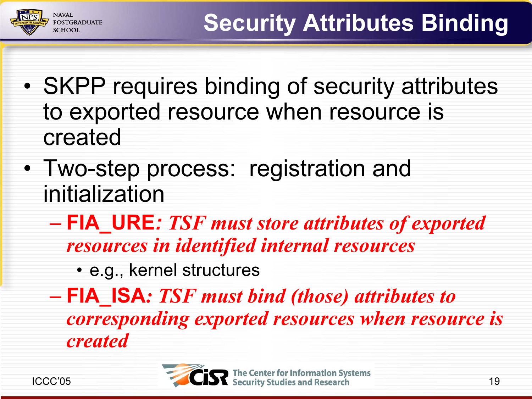- • SKPP requires binding of security attributes to exported resource when resource is created
- Two-step process: registration and initialization
	- FIA\_URE: TSF must store attributes of exported resources in identified internal resources
		- e.g., kernel structures
	- FIA\_ISA: TSF must bind (those) attributes to corresponding exported resources when resource is created



**OSTGRADUATE**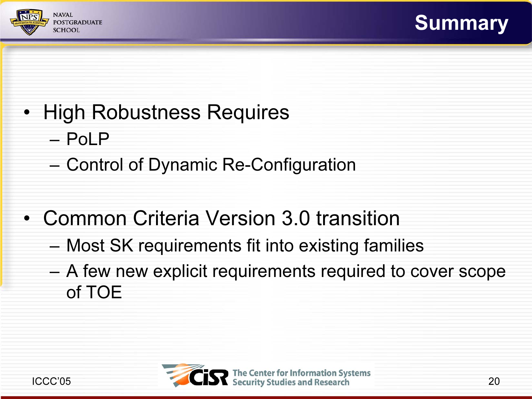



- High Robustness Requires
	- PoLP
	- Control of Dynamic Re-Configuration
- Common Criteria Version 3.0 transition
	- Most SK requirements fit into existing families
	- A few new explicit requirements required to cover scope of TOE

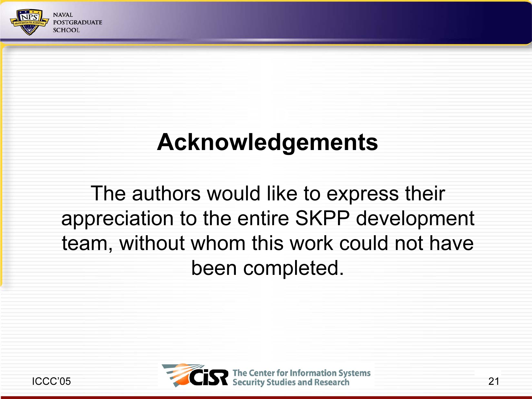

## Acknowledgements

The authors would like to express their appreciation to the entire SKPP development team, without whom this work could not have been completed.